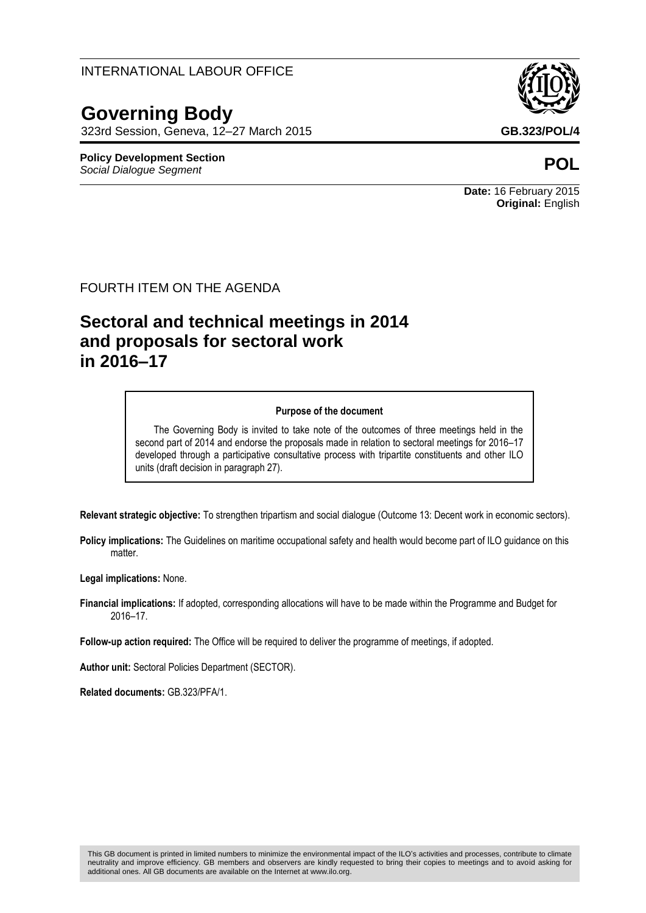### INTERNATIONAL LABOUR OFFICE

# **Governing Body**

323rd Session, Geneva, 12–27 March 2015 **GB.323/POL/4**

#### **Policy Development Section** *Social Dialogue Segment* **POL**

This GB document is printed in limited numbers to minimize the environmental impact of the ILO's activities and processes, contribute to climate neutrality and improve efficiency. GB members and observers are kindly requested to bring their copies to meetings and to avoid asking for additional ones. All GB documents are available on the Internet at www.ilo.org.

**Date:** 16 February 2015 **Original:** English

#### FOURTH ITEM ON THE AGENDA

# **Sectoral and technical meetings in 2014 and proposals for sectoral work in 2016–17**

#### **Purpose of the document**

The Governing Body is invited to take note of the outcomes of three meetings held in the second part of 2014 and endorse the proposals made in relation to sectoral meetings for 2016-17 developed through a participative consultative process with tripartite constituents and other ILO units (draft decision in paragraph 27).

**Relevant strategic objective:** To strengthen tripartism and social dialogue (Outcome 13: Decent work in economic sectors).

**Policy implications:** The Guidelines on maritime occupational safety and health would become part of ILO guidance on this matter.

**Legal implications:** None.

**Financial implications:** If adopted, corresponding allocations will have to be made within the Programme and Budget for 2016–17.

**Follow-up action required:** The Office will be required to deliver the programme of meetings, if adopted.

**Author unit:** Sectoral Policies Department (SECTOR).

**Related documents:** GB.323/PFA/1.

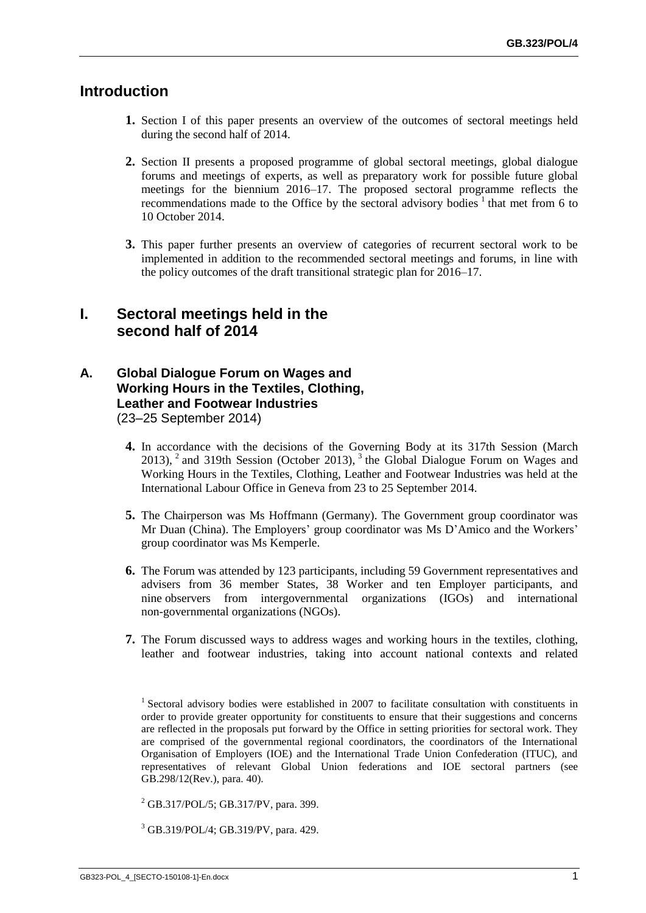## **Introduction**

- **1.** Section I of this paper presents an overview of the outcomes of sectoral meetings held during the second half of 2014.
- **2.** Section II presents a proposed programme of global sectoral meetings, global dialogue forums and meetings of experts, as well as preparatory work for possible future global meetings for the biennium 2016–17. The proposed sectoral programme reflects the recommendations made to the Office by the sectoral advisory bodies<sup>1</sup> that met from 6 to 10 October 2014.
- **3.** This paper further presents an overview of categories of recurrent sectoral work to be implemented in addition to the recommended sectoral meetings and forums, in line with the policy outcomes of the draft transitional strategic plan for 2016–17.

## **I. Sectoral meetings held in the second half of 2014**

#### **A. Global Dialogue Forum on Wages and Working Hours in the Textiles, Clothing, Leather and Footwear Industries** (23–25 September 2014)

- **4.** In accordance with the decisions of the Governing Body at its 317th Session (March  $2013$ ,  $^2$  and 319th Session (October 2013),  $^3$  the Global Dialogue Forum on Wages and Working Hours in the Textiles, Clothing, Leather and Footwear Industries was held at the International Labour Office in Geneva from 23 to 25 September 2014.
- **5.** The Chairperson was Ms Hoffmann (Germany). The Government group coordinator was Mr Duan (China). The Employers' group coordinator was Ms D'Amico and the Workers' group coordinator was Ms Kemperle.
- **6.** The Forum was attended by 123 participants, including 59 Government representatives and advisers from 36 member States, 38 Worker and ten Employer participants, and nine observers from intergovernmental organizations (IGOs) and international non-governmental organizations (NGOs).
- **7.** The Forum discussed ways to address wages and working hours in the textiles, clothing, leather and footwear industries, taking into account national contexts and related

 $^{2}$  GB.317/POL/5; GB.317/PV, para. 399.

<sup>3</sup> GB.319/POL/4; GB.319/PV, para. 429.

<sup>&</sup>lt;sup>1</sup> Sectoral advisory bodies were established in 2007 to facilitate consultation with constituents in order to provide greater opportunity for constituents to ensure that their suggestions and concerns are reflected in the proposals put forward by the Office in setting priorities for sectoral work. They are comprised of the governmental regional coordinators, the coordinators of the International Organisation of Employers (IOE) and the International Trade Union Confederation (ITUC), and representatives of relevant Global Union federations and IOE sectoral partners (see GB.298/12(Rev.), para. 40).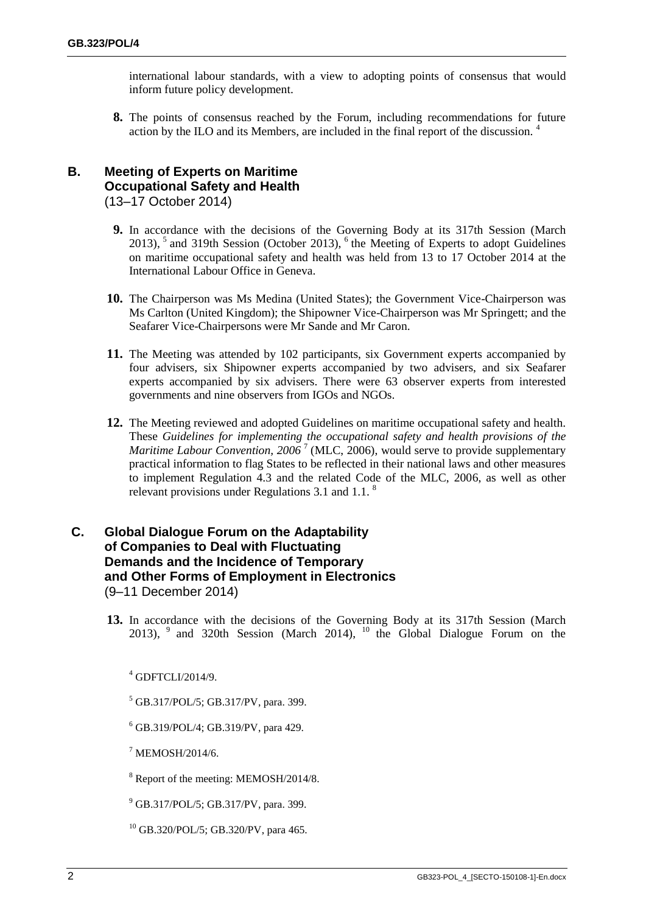international labour standards, with a view to adopting points of consensus that would inform future policy development.

**8.** The points of consensus reached by the Forum, including recommendations for future action by the ILO and its Members, are included in the final report of the discussion.<sup>4</sup>

#### **B. Meeting of Experts on Maritime Occupational Safety and Health** (13–17 October 2014)

- **9.** In accordance with the decisions of the Governing Body at its 317th Session (March  $2013$ ,  $5$  and 319th Session (October 2013),  $6$  the Meeting of Experts to adopt Guidelines on maritime occupational safety and health was held from 13 to 17 October 2014 at the International Labour Office in Geneva.
- **10.** The Chairperson was Ms Medina (United States); the Government Vice-Chairperson was Ms Carlton (United Kingdom); the Shipowner Vice-Chairperson was Mr Springett; and the Seafarer Vice-Chairpersons were Mr Sande and Mr Caron.
- **11.** The Meeting was attended by 102 participants, six Government experts accompanied by four advisers, six Shipowner experts accompanied by two advisers, and six Seafarer experts accompanied by six advisers. There were 63 observer experts from interested governments and nine observers from IGOs and NGOs.
- **12.** The Meeting reviewed and adopted Guidelines on maritime occupational safety and health. These *Guidelines for implementing the occupational safety and health provisions of the Maritime Labour Convention, 2006*<sup>7</sup> (MLC, 2006), would serve to provide supplementary practical information to flag States to be reflected in their national laws and other measures to implement Regulation 4.3 and the related Code of the MLC, 2006, as well as other relevant provisions under Regulations 3.1 and 1.1. $<sup>8</sup>$ </sup>

#### **C. Global Dialogue Forum on the Adaptability of Companies to Deal with Fluctuating Demands and the Incidence of Temporary and Other Forms of Employment in Electronics**  (9–11 December 2014)

**13.** In accordance with the decisions of the Governing Body at its 317th Session (March 2013),  $9$  and 320th Session (March 2014),  $10$  the Global Dialogue Forum on the

 $4$  GDFTCLI/2014/9.

- <sup>5</sup> GB.317/POL/5; GB.317/PV, para. 399.
- $6$  GB.319/POL/4; GB.319/PV, para 429.
- $7$  MEMOSH/2014/6.
- <sup>8</sup> Report of the meeting: MEMOSH/2014/8.
- $^{9}$  GB.317/POL/5; GB.317/PV, para. 399.
- $^{10}$  GB.320/POL/5; GB.320/PV, para 465.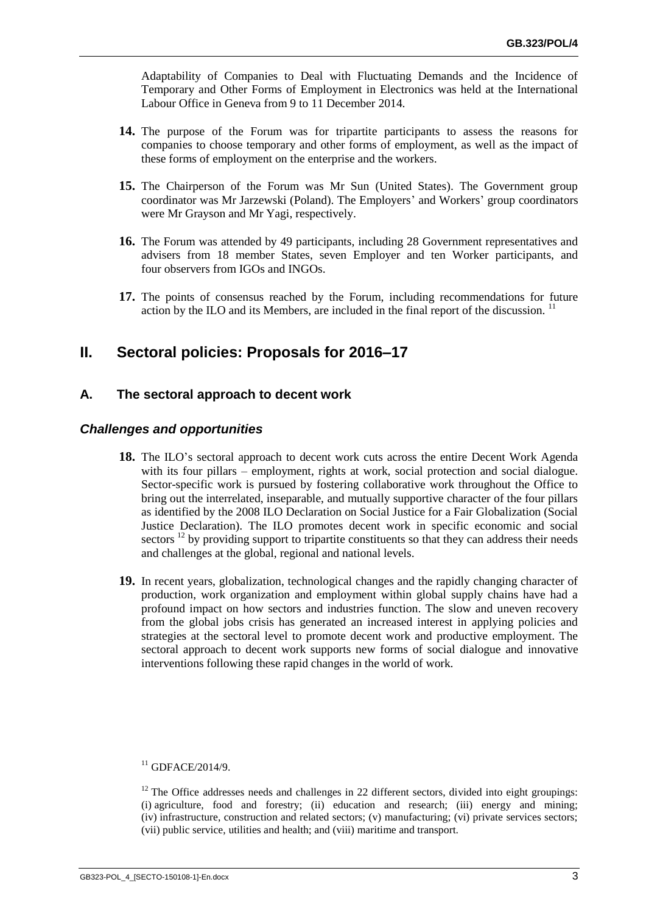Adaptability of Companies to Deal with Fluctuating Demands and the Incidence of Temporary and Other Forms of Employment in Electronics was held at the International Labour Office in Geneva from 9 to 11 December 2014.

- **14.** The purpose of the Forum was for tripartite participants to assess the reasons for companies to choose temporary and other forms of employment, as well as the impact of these forms of employment on the enterprise and the workers.
- **15.** The Chairperson of the Forum was Mr Sun (United States). The Government group coordinator was Mr Jarzewski (Poland). The Employers' and Workers' group coordinators were Mr Grayson and Mr Yagi, respectively.
- **16.** The Forum was attended by 49 participants, including 28 Government representatives and advisers from 18 member States, seven Employer and ten Worker participants, and four observers from IGOs and INGOs.
- **17.** The points of consensus reached by the Forum, including recommendations for future action by the ILO and its Members, are included in the final report of the discussion.<sup>11</sup>

## **II. Sectoral policies: Proposals for 2016–17**

#### **A. The sectoral approach to decent work**

#### *Challenges and opportunities*

- **18.** The ILO's sectoral approach to decent work cuts across the entire Decent Work Agenda with its four pillars – employment, rights at work, social protection and social dialogue. Sector-specific work is pursued by fostering collaborative work throughout the Office to bring out the interrelated, inseparable, and mutually supportive character of the four pillars as identified by the 2008 ILO Declaration on Social Justice for a Fair Globalization (Social Justice Declaration). The ILO promotes decent work in specific economic and social sectors  $^{12}$  by providing support to tripartite constituents so that they can address their needs and challenges at the global, regional and national levels.
- **19.** In recent years, globalization, technological changes and the rapidly changing character of production, work organization and employment within global supply chains have had a profound impact on how sectors and industries function. The slow and uneven recovery from the global jobs crisis has generated an increased interest in applying policies and strategies at the sectoral level to promote decent work and productive employment. The sectoral approach to decent work supports new forms of social dialogue and innovative interventions following these rapid changes in the world of work.

 $11$  GDFACE/2014/9.

 $12$  The Office addresses needs and challenges in 22 different sectors, divided into eight groupings: (i) agriculture, food and forestry; (ii) education and research; (iii) energy and mining; (iv) infrastructure, construction and related sectors; (v) manufacturing; (vi) private services sectors; (vii) public service, utilities and health; and (viii) maritime and transport.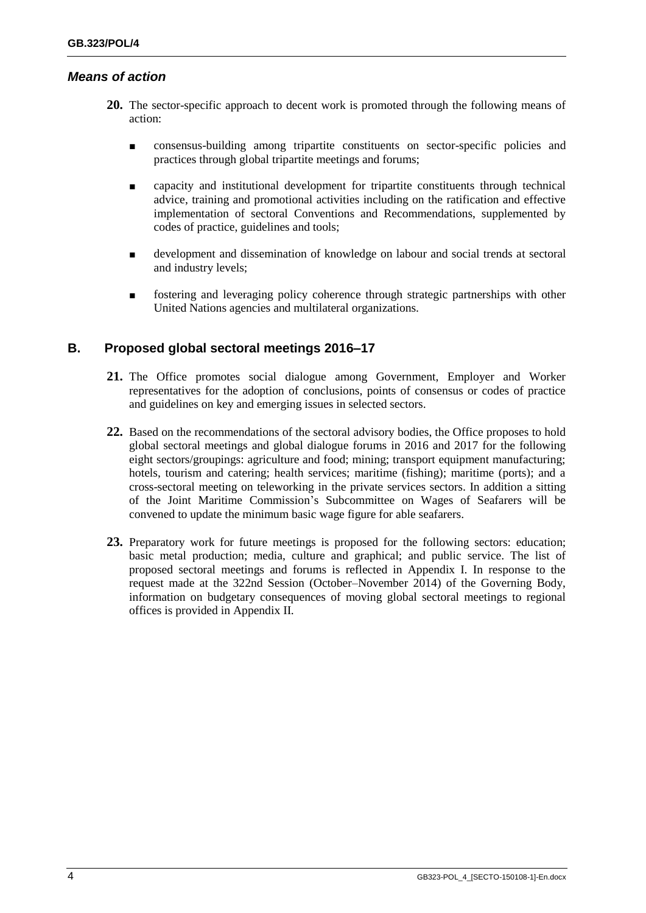#### *Means of action*

- **20.** The sector-specific approach to decent work is promoted through the following means of action:
	- consensus-building among tripartite constituents on sector-specific policies and practices through global tripartite meetings and forums;
	- capacity and institutional development for tripartite constituents through technical advice, training and promotional activities including on the ratification and effective implementation of sectoral Conventions and Recommendations, supplemented by codes of practice, guidelines and tools;
	- development and dissemination of knowledge on labour and social trends at sectoral and industry levels;
	- fostering and leveraging policy coherence through strategic partnerships with other United Nations agencies and multilateral organizations.

### **B. Proposed global sectoral meetings 2016–17**

- **21.** The Office promotes social dialogue among Government, Employer and Worker representatives for the adoption of conclusions, points of consensus or codes of practice and guidelines on key and emerging issues in selected sectors.
- **22.** Based on the recommendations of the sectoral advisory bodies, the Office proposes to hold global sectoral meetings and global dialogue forums in 2016 and 2017 for the following eight sectors/groupings: agriculture and food; mining; transport equipment manufacturing; hotels, tourism and catering; health services; maritime (fishing); maritime (ports); and a cross-sectoral meeting on teleworking in the private services sectors. In addition a sitting of the Joint Maritime Commission's Subcommittee on Wages of Seafarers will be convened to update the minimum basic wage figure for able seafarers.
- **23.** Preparatory work for future meetings is proposed for the following sectors: education; basic metal production; media, culture and graphical; and public service. The list of proposed sectoral meetings and forums is reflected in Appendix I. In response to the request made at the 322nd Session (October–November 2014) of the Governing Body, information on budgetary consequences of moving global sectoral meetings to regional offices is provided in Appendix II.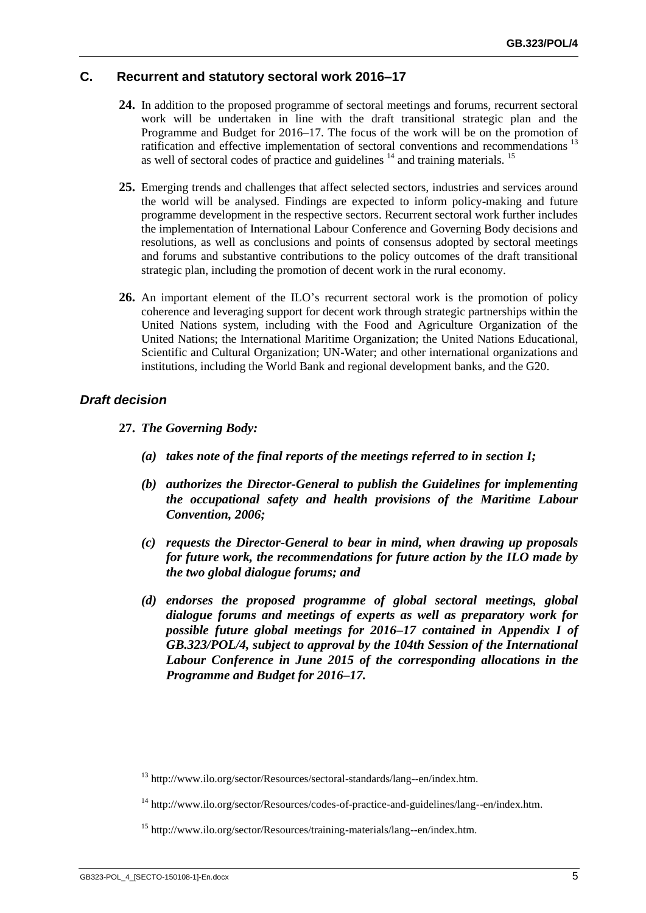#### **C. Recurrent and statutory sectoral work 2016–17**

- **24.** In addition to the proposed programme of sectoral meetings and forums, recurrent sectoral work will be undertaken in line with the draft transitional strategic plan and the Programme and Budget for 2016–17. The focus of the work will be on the promotion of ratification and effective implementation of sectoral conventions and recommendations<sup>13</sup> as well of sectoral codes of practice and guidelines  $14$  and training materials.  $15$
- **25.** Emerging trends and challenges that affect selected sectors, industries and services around the world will be analysed. Findings are expected to inform policy-making and future programme development in the respective sectors. Recurrent sectoral work further includes the implementation of International Labour Conference and Governing Body decisions and resolutions, as well as conclusions and points of consensus adopted by sectoral meetings and forums and substantive contributions to the policy outcomes of the draft transitional strategic plan, including the promotion of decent work in the rural economy.
- **26.** An important element of the ILO's recurrent sectoral work is the promotion of policy coherence and leveraging support for decent work through strategic partnerships within the United Nations system, including with the Food and Agriculture Organization of the United Nations; the International Maritime Organization; the United Nations Educational, Scientific and Cultural Organization; UN-Water; and other international organizations and institutions, including the World Bank and regional development banks, and the G20.

#### *Draft decision*

- **27.** *The Governing Body:*
	- *(a) takes note of the final reports of the meetings referred to in section I;*
	- *(b) authorizes the Director-General to publish the Guidelines for implementing the occupational safety and health provisions of the Maritime Labour Convention, 2006;*
	- *(c) requests the Director-General to bear in mind, when drawing up proposals for future work, the recommendations for future action by the ILO made by the two global dialogue forums; and*
	- *(d) endorses the proposed programme of global sectoral meetings, global dialogue forums and meetings of experts as well as preparatory work for possible future global meetings for 2016–17 contained in Appendix I of GB.323/POL/4, subject to approval by the 104th Session of the International Labour Conference in June 2015 of the corresponding allocations in the Programme and Budget for 2016–17.*

<sup>&</sup>lt;sup>13</sup> http://www.ilo.org/sector/Resources/sectoral-standards/lang--en/index.htm.

<sup>&</sup>lt;sup>14</sup> http://www.ilo.org/sector/Resources/codes-of-practice-and-guidelines/lang--en/index.htm.

<sup>&</sup>lt;sup>15</sup> http://www.ilo.org/sector/Resources/training-materials/lang--en/index.htm.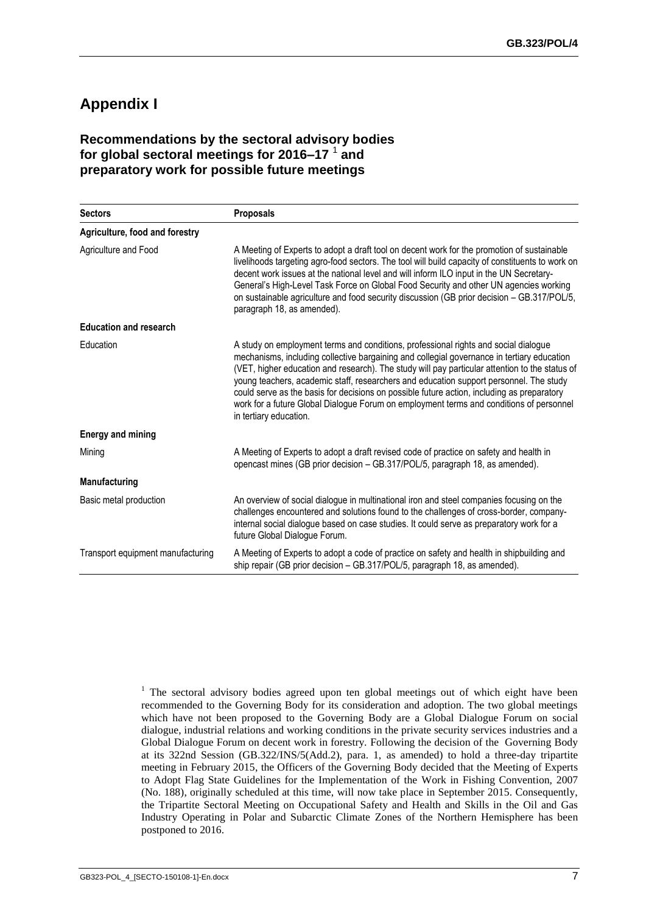## **Appendix I**

### **Recommendations by the sectoral advisory bodies for global sectoral meetings for 2016–17** <sup>1</sup> **and preparatory work for possible future meetings**

| <b>Sectors</b>                    | <b>Proposals</b>                                                                                                                                                                                                                                                                                                                                                                                                                                                                                                                                                                                 |
|-----------------------------------|--------------------------------------------------------------------------------------------------------------------------------------------------------------------------------------------------------------------------------------------------------------------------------------------------------------------------------------------------------------------------------------------------------------------------------------------------------------------------------------------------------------------------------------------------------------------------------------------------|
| Agriculture, food and forestry    |                                                                                                                                                                                                                                                                                                                                                                                                                                                                                                                                                                                                  |
| Agriculture and Food              | A Meeting of Experts to adopt a draft tool on decent work for the promotion of sustainable<br>livelihoods targeting agro-food sectors. The tool will build capacity of constituents to work on<br>decent work issues at the national level and will inform ILO input in the UN Secretary-<br>General's High-Level Task Force on Global Food Security and other UN agencies working<br>on sustainable agriculture and food security discussion (GB prior decision - GB.317/POL/5,<br>paragraph 18, as amended).                                                                                   |
| <b>Education and research</b>     |                                                                                                                                                                                                                                                                                                                                                                                                                                                                                                                                                                                                  |
| Education                         | A study on employment terms and conditions, professional rights and social dialogue<br>mechanisms, including collective bargaining and collegial governance in tertiary education<br>(VET, higher education and research). The study will pay particular attention to the status of<br>young teachers, academic staff, researchers and education support personnel. The study<br>could serve as the basis for decisions on possible future action, including as preparatory<br>work for a future Global Dialogue Forum on employment terms and conditions of personnel<br>in tertiary education. |
| <b>Energy and mining</b>          |                                                                                                                                                                                                                                                                                                                                                                                                                                                                                                                                                                                                  |
| Mining                            | A Meeting of Experts to adopt a draft revised code of practice on safety and health in<br>opencast mines (GB prior decision - GB.317/POL/5, paragraph 18, as amended).                                                                                                                                                                                                                                                                                                                                                                                                                           |
| Manufacturing                     |                                                                                                                                                                                                                                                                                                                                                                                                                                                                                                                                                                                                  |
| Basic metal production            | An overview of social dialogue in multinational iron and steel companies focusing on the<br>challenges encountered and solutions found to the challenges of cross-border, company-<br>internal social dialogue based on case studies. It could serve as preparatory work for a<br>future Global Dialogue Forum.                                                                                                                                                                                                                                                                                  |
| Transport equipment manufacturing | A Meeting of Experts to adopt a code of practice on safety and health in shipbuilding and<br>ship repair (GB prior decision - GB.317/POL/5, paragraph 18, as amended).                                                                                                                                                                                                                                                                                                                                                                                                                           |

<sup>1</sup> The sectoral advisory bodies agreed upon ten global meetings out of which eight have been recommended to the Governing Body for its consideration and adoption. The two global meetings which have not been proposed to the Governing Body are a Global Dialogue Forum on social dialogue, industrial relations and working conditions in the private security services industries and a Global Dialogue Forum on decent work in forestry. Following the decision of the Governing Body at its 322nd Session (GB.322/INS/5(Add.2), para. 1, as amended) to hold a three-day tripartite meeting in February 2015, the Officers of the Governing Body decided that the Meeting of Experts to Adopt Flag State Guidelines for the Implementation of the Work in Fishing Convention, 2007 (No. 188), originally scheduled at this time, will now take place in September 2015. Consequently, the Tripartite Sectoral Meeting on Occupational Safety and Health and Skills in the Oil and Gas Industry Operating in Polar and Subarctic Climate Zones of the Northern Hemisphere has been postponed to 2016.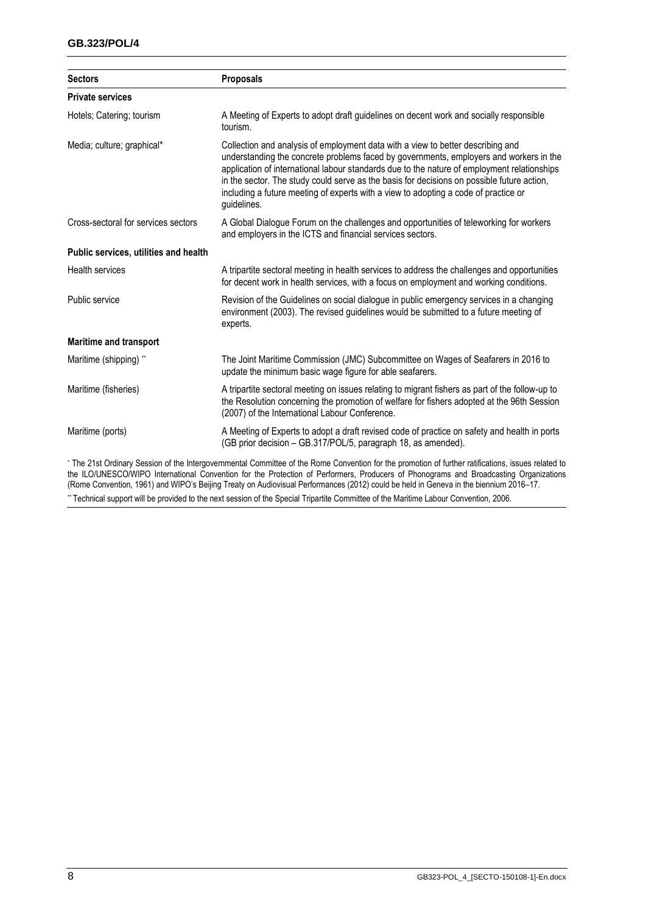| <b>Sectors</b>                        | Proposals                                                                                                                                                                                                                                                                                                                                                                                                                                                                    |  |
|---------------------------------------|------------------------------------------------------------------------------------------------------------------------------------------------------------------------------------------------------------------------------------------------------------------------------------------------------------------------------------------------------------------------------------------------------------------------------------------------------------------------------|--|
| <b>Private services</b>               |                                                                                                                                                                                                                                                                                                                                                                                                                                                                              |  |
| Hotels; Catering; tourism             | A Meeting of Experts to adopt draft guidelines on decent work and socially responsible<br>tourism.                                                                                                                                                                                                                                                                                                                                                                           |  |
| Media; culture; graphical*            | Collection and analysis of employment data with a view to better describing and<br>understanding the concrete problems faced by governments, employers and workers in the<br>application of international labour standards due to the nature of employment relationships<br>in the sector. The study could serve as the basis for decisions on possible future action,<br>including a future meeting of experts with a view to adopting a code of practice or<br>guidelines. |  |
| Cross-sectoral for services sectors   | A Global Dialogue Forum on the challenges and opportunities of teleworking for workers<br>and employers in the ICTS and financial services sectors.                                                                                                                                                                                                                                                                                                                          |  |
| Public services, utilities and health |                                                                                                                                                                                                                                                                                                                                                                                                                                                                              |  |
| <b>Health services</b>                | A tripartite sectoral meeting in health services to address the challenges and opportunities<br>for decent work in health services, with a focus on employment and working conditions.                                                                                                                                                                                                                                                                                       |  |
| Public service                        | Revision of the Guidelines on social dialogue in public emergency services in a changing<br>environment (2003). The revised guidelines would be submitted to a future meeting of<br>experts.                                                                                                                                                                                                                                                                                 |  |
| <b>Maritime and transport</b>         |                                                                                                                                                                                                                                                                                                                                                                                                                                                                              |  |
| Maritime (shipping) **                | The Joint Maritime Commission (JMC) Subcommittee on Wages of Seafarers in 2016 to<br>update the minimum basic wage figure for able seafarers.                                                                                                                                                                                                                                                                                                                                |  |
| Maritime (fisheries)                  | A tripartite sectoral meeting on issues relating to migrant fishers as part of the follow-up to<br>the Resolution concerning the promotion of welfare for fishers adopted at the 96th Session<br>(2007) of the International Labour Conference.                                                                                                                                                                                                                              |  |
| Maritime (ports)                      | A Meeting of Experts to adopt a draft revised code of practice on safety and health in ports<br>(GB prior decision - GB.317/POL/5, paragraph 18, as amended).                                                                                                                                                                                                                                                                                                                |  |
|                                       | * The 21st Ordinary Session of the Intergovernmental Committee of the Rome Convention for the promotion of further ratifications, issues related to<br>the ILO/UNESCO/WIPO International Convention for the Protection of Performers, Producers of Phonograms and Broadcasting Organizations<br>(Rome Convention, 1961) and WIPO's Beijing Treaty on Audiovisual Performances (2012) could be held in Geneva in the biennium 2016–17.                                        |  |

\*\* Technical support will be provided to the next session of the Special Tripartite Committee of the Maritime Labour Convention, 2006.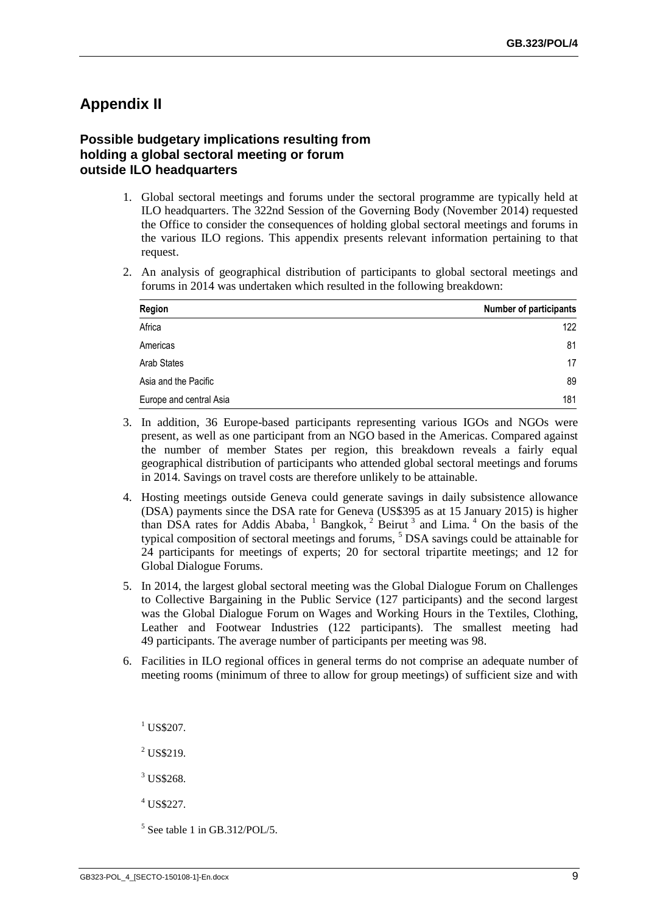## **Appendix II**

#### **Possible budgetary implications resulting from holding a global sectoral meeting or forum outside ILO headquarters**

- 1. Global sectoral meetings and forums under the sectoral programme are typically held at ILO headquarters. The 322nd Session of the Governing Body (November 2014) requested the Office to consider the consequences of holding global sectoral meetings and forums in the various ILO regions. This appendix presents relevant information pertaining to that request.
- 2. An analysis of geographical distribution of participants to global sectoral meetings and forums in 2014 was undertaken which resulted in the following breakdown:

| Region                  | <b>Number of participants</b> |
|-------------------------|-------------------------------|
| Africa                  | 122                           |
| Americas                | 81                            |
| Arab States             | 17                            |
| Asia and the Pacific    | 89                            |
| Europe and central Asia | 181                           |

- 3. In addition, 36 Europe-based participants representing various IGOs and NGOs were present, as well as one participant from an NGO based in the Americas. Compared against the number of member States per region, this breakdown reveals a fairly equal geographical distribution of participants who attended global sectoral meetings and forums in 2014. Savings on travel costs are therefore unlikely to be attainable.
- 4. Hosting meetings outside Geneva could generate savings in daily subsistence allowance (DSA) payments since the DSA rate for Geneva (US\$395 as at 15 January 2015) is higher than DSA rates for Addis Ababa,  $1$  Bangkok,  $2$  Beirut  $3$  and Lima.  $4$  On the basis of the typical composition of sectoral meetings and forums, <sup>5</sup> DSA savings could be attainable for 24 participants for meetings of experts; 20 for sectoral tripartite meetings; and 12 for Global Dialogue Forums.
- 5. In 2014, the largest global sectoral meeting was the Global Dialogue Forum on Challenges to Collective Bargaining in the Public Service (127 participants) and the second largest was the Global Dialogue Forum on Wages and Working Hours in the Textiles, Clothing, Leather and Footwear Industries (122 participants). The smallest meeting had 49 participants. The average number of participants per meeting was 98.
- 6. Facilities in ILO regional offices in general terms do not comprise an adequate number of meeting rooms (minimum of three to allow for group meetings) of sufficient size and with
	- <sup>1</sup> US\$207.
	- <sup>2</sup> US\$219.
	- <sup>3</sup> US\$268.
	- $^{4}$  US\$227.

<sup>5</sup> See table 1 in GB.312/POL/5.